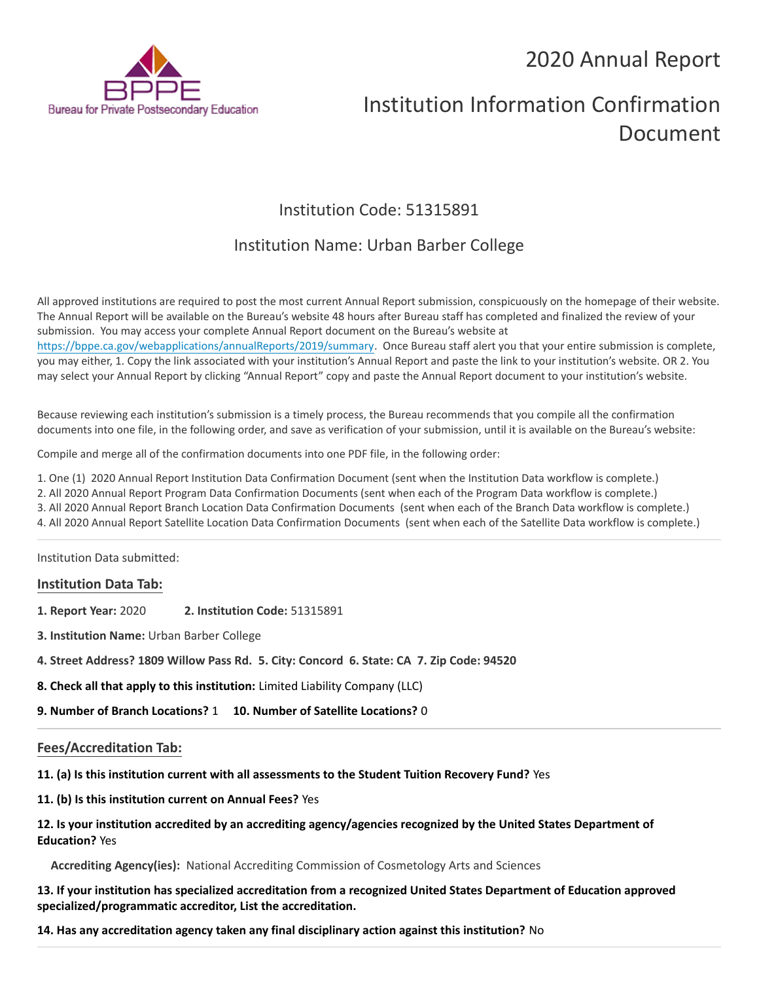# 2020 Annual Report



# Institution Information Confirmation Document

# Institution Code: 51315891

# Institution Name: Urban Barber College

All approved institutions are required to post the most current Annual Report submission, conspicuously on the homepage of their website. The Annual Report will be available on the Bureau's website 48 hours after Bureau staff has completed and finalized the review of your submission. You may access your complete Annual Report document on the Bureau's website at <https://bppe.ca.gov/webapplications/annualReports/2019/summary>. Once Bureau staff alert you that your entire submission is complete, you may either, 1. Copy the link associated with your institution's Annual Report and paste the link to your institution's website. OR 2. You may select your Annual Report by clicking "Annual Report" copy and paste the Annual Report document to your institution's website.

Because reviewing each institution's submission is a timely process, the Bureau recommends that you compile all the confirmation documents into one file, in the following order, and save as verification of your submission, until it is available on the Bureau's website:

Compile and merge all of the confirmation documents into one PDF file, in the following order:

1. One (1) 2020 Annual Report Institution Data Confirmation Document (sent when the Institution Data workflow is complete.)

2. All 2020 Annual Report Program Data Confirmation Documents (sent when each of the Program Data workflow is complete.)

3. All 2020 Annual Report Branch Location Data Confirmation Documents (sent when each of the Branch Data workflow is complete.)

4. All 2020 Annual Report Satellite Location Data Confirmation Documents (sent when each of the Satellite Data workflow is complete.)

Institution Data submitted:

## **Institution Data Tab:**

- **1. Report Year:** 2020 **2. Institution Code:** 51315891
- **3. Institution Name:** Urban Barber College
- **4. Street Address? 1809 Willow Pass Rd. 5. City: Concord 6. State: CA 7. Zip Code: 94520**
- **8. Check all that apply to this institution:** Limited Liability Company (LLC)
- **9. Number of Branch Locations?** 1 **10. Number of Satellite Locations?** 0

## **Fees/Accreditation Tab:**

**11. (a) Is this institution current with all assessments to the Student Tuition Recovery Fund?** Yes

**11. (b) Is this institution current on Annual Fees?** Yes

## **12. Is your institution accredited by an accrediting agency/agencies recognized by the United States Department of Education?** Yes

**Accrediting Agency(ies):** National Accrediting Commission of Cosmetology Arts and Sciences

**13. If your institution has specialized accreditation from a recognized United States Department of Education approved specialized/programmatic accreditor, List the accreditation.**

**14. Has any accreditation agency taken any final disciplinary action against this institution?** No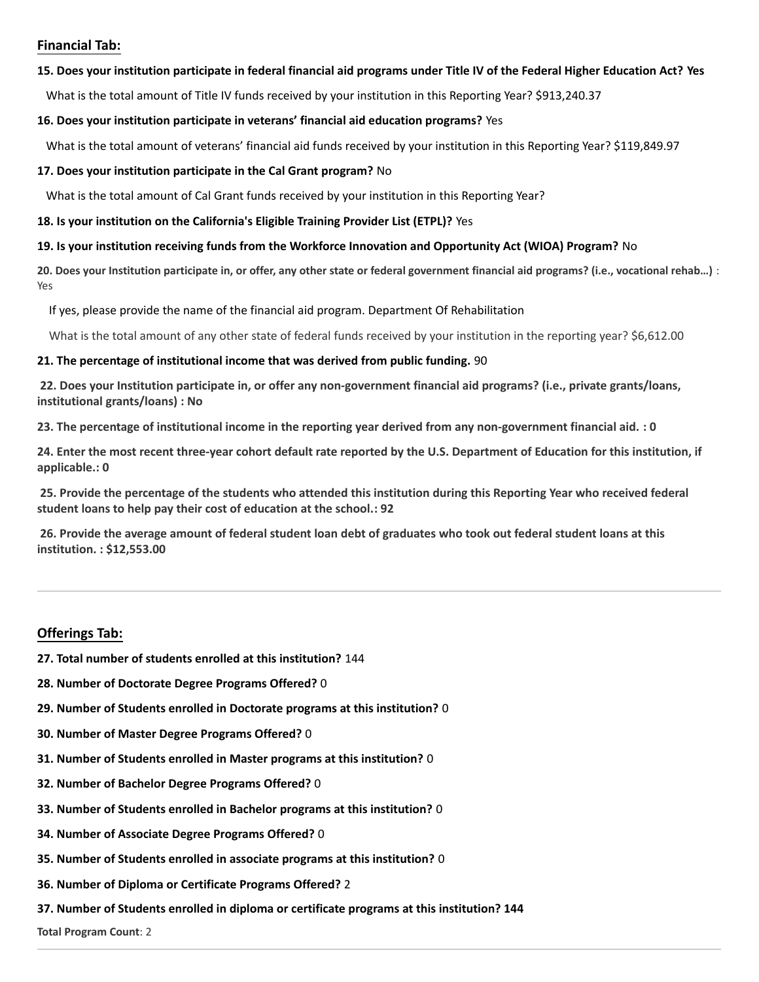## **Financial Tab:**

#### **15. Does your institution participate in federal financial aid programs under Title IV of the Federal Higher Education Act? Yes**

What is the total amount of Title IV funds received by your institution in this Reporting Year? \$913,240.37

#### **16. Does your institution participate in veterans' financial aid education programs?** Yes

What is the total amount of veterans' financial aid funds received by your institution in this Reporting Year? \$119,849.97

### **17. Does your institution participate in the Cal Grant program?** No

What is the total amount of Cal Grant funds received by your institution in this Reporting Year?

#### **18. Is your institution on the California's Eligible Training Provider List (ETPL)?** Yes

### **19. Is your institution receiving funds from the Workforce Innovation and Opportunity Act (WIOA) Program?** No

**20. Does your Institution participate in, or offer, any other state or federal government financial aid programs? (i.e., vocational rehab…)** : Yes

If yes, please provide the name of the financial aid program. Department Of Rehabilitation

What is the total amount of any other state of federal funds received by your institution in the reporting year? \$6,612.00

### **21. The percentage of institutional income that was derived from public funding.** 90

**22. Does your Institution participate in, or offer any non-government financial aid programs? (i.e., private grants/loans, institutional grants/loans) : No**

**23. The percentage of institutional income in the reporting year derived from any non-government financial aid. : 0**

**24. Enter the most recent three-year cohort default rate reported by the U.S. Department of Education for this institution, if applicable.: 0**

**25. Provide the percentage of the students who attended this institution during this Reporting Year who received federal student loans to help pay their cost of education at the school.: 92**

**26. Provide the average amount of federal student loan debt of graduates who took out federal student loans at this institution. : \$12,553.00**

## **Offerings Tab:**

- **27. Total number of students enrolled at this institution?** 144
- **28. Number of Doctorate Degree Programs Offered?** 0
- **29. Number of Students enrolled in Doctorate programs at this institution?** 0
- **30. Number of Master Degree Programs Offered?** 0
- **31. Number of Students enrolled in Master programs at this institution?** 0
- **32. Number of Bachelor Degree Programs Offered?** 0
- **33. Number of Students enrolled in Bachelor programs at this institution?** 0
- **34. Number of Associate Degree Programs Offered?** 0
- **35. Number of Students enrolled in associate programs at this institution?** 0
- **36. Number of Diploma or Certificate Programs Offered?** 2
- **37. Number of Students enrolled in diploma or certificate programs at this institution? 144**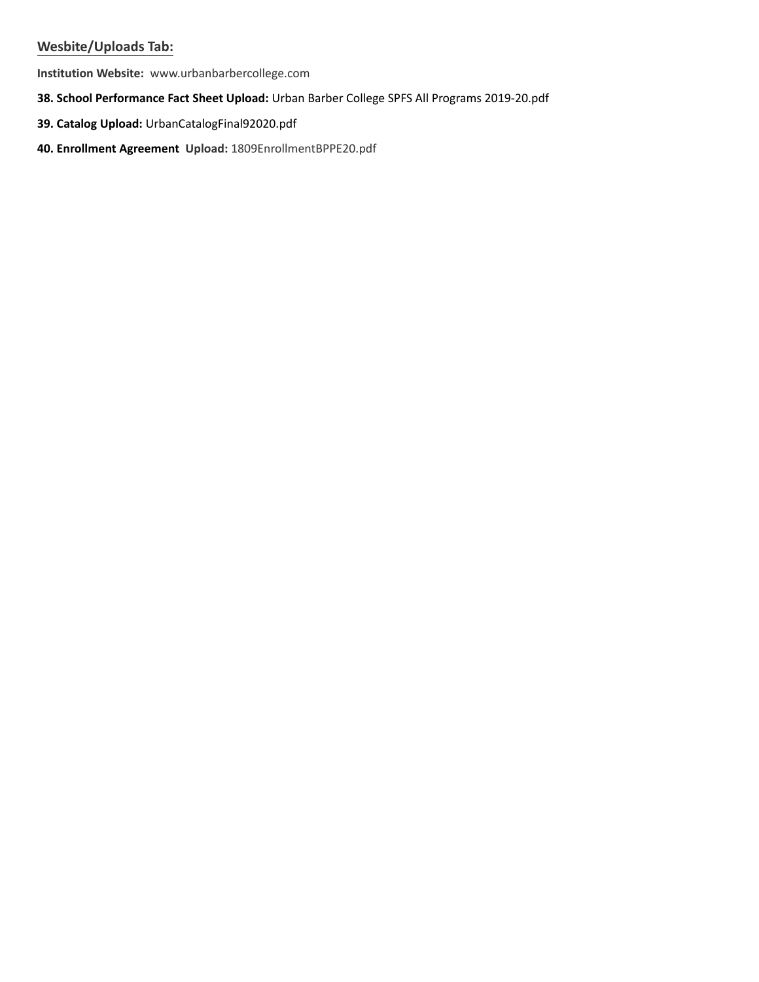## **Wesbite/Uploads Tab:**

**Institution Website:**  www.urbanbarbercollege.com

## **38. School Performance Fact Sheet Upload:** Urban Barber College SPFS All Programs 2019-20.pdf

- **39. Catalog Upload:** UrbanCatalogFinal92020.pdf
- **40. Enrollment Agreement Upload:** 1809EnrollmentBPPE20.pdf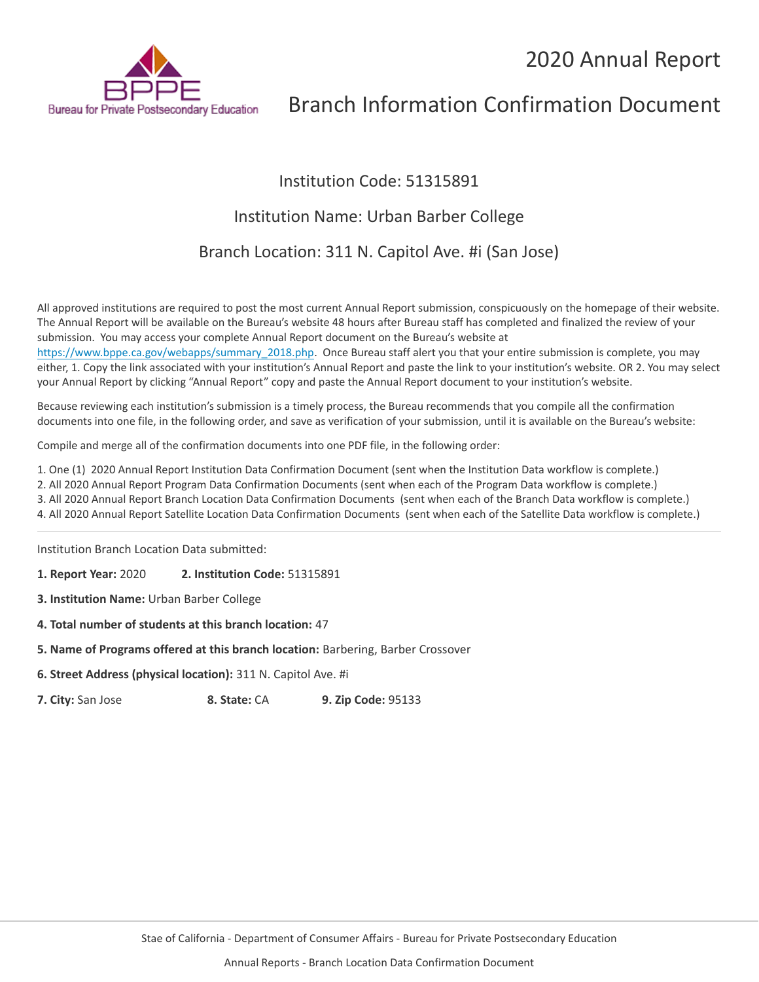# 2020 Annual Report



# Branch Information Confirmation Document

# Institution Code: 51315891

# Institution Name: Urban Barber College

Branch Location: 311 N. Capitol Ave. #i (San Jose)

All approved institutions are required to post the most current Annual Report submission, conspicuously on the homepage of their website. The Annual Report will be available on the Bureau's website 48 hours after Bureau staff has completed and finalized the review of your submission. You may access your complete Annual Report document on the Bureau's website at [https://www.bppe.ca.gov/webapps/summary\\_2018.php.](https://www.bppe.ca.gov/webapps/summary_2018.php) Once Bureau staff alert you that your entire submission is complete, you may

either, 1. Copy the link associated with your institution's Annual Report and paste the link to your institution's website. OR 2. You may select your Annual Report by clicking "Annual Report" copy and paste the Annual Report document to your institution's website.

Because reviewing each institution's submission is a timely process, the Bureau recommends that you compile all the confirmation documents into one file, in the following order, and save as verification of your submission, until it is available on the Bureau's website:

Compile and merge all of the confirmation documents into one PDF file, in the following order:

1. One (1) 2020 Annual Report Institution Data Confirmation Document (sent when the Institution Data workflow is complete.)

2. All 2020 Annual Report Program Data Confirmation Documents (sent when each of the Program Data workflow is complete.)

3. All 2020 Annual Report Branch Location Data Confirmation Documents (sent when each of the Branch Data workflow is complete.)

4. All 2020 Annual Report Satellite Location Data Confirmation Documents (sent when each of the Satellite Data workflow is complete.)

Institution Branch Location Data submitted:

**1. Report Year:** 2020 **2. Institution Code:** 51315891

**3. Institution Name:** Urban Barber College

**4. Total number of students at this branch location:** 47

**5. Name of Programs offered at this branch location:** Barbering, Barber Crossover

**6. Street Address (physical location):** 311 N. Capitol Ave. #i

**7. City:** San Jose **8. State:** CA **9. Zip Code:** 95133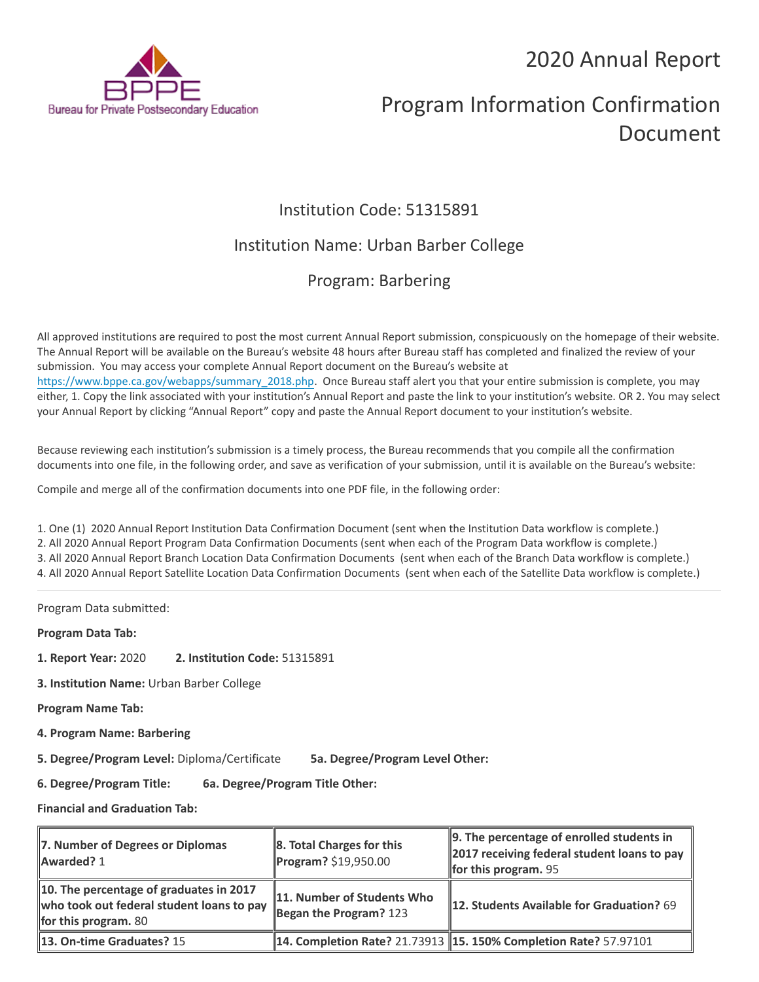2020 Annual Report



# Program Information Confirmation Document

# Institution Code: 51315891

# Institution Name: Urban Barber College

# Program: Barbering

All approved institutions are required to post the most current Annual Report submission, conspicuously on the homepage of their website. The Annual Report will be available on the Bureau's website 48 hours after Bureau staff has completed and finalized the review of your submission. You may access your complete Annual Report document on the Bureau's website at [https://www.bppe.ca.gov/webapps/summary\\_2018.php.](https://www.bppe.ca.gov/webapps/summary_2018.php) Once Bureau staff alert you that your entire submission is complete, you may either, 1. Copy the link associated with your institution's Annual Report and paste the link to your institution's website. OR 2. You may select your Annual Report by clicking "Annual Report" copy and paste the Annual Report document to your institution's website.

Because reviewing each institution's submission is a timely process, the Bureau recommends that you compile all the confirmation documents into one file, in the following order, and save as verification of your submission, until it is available on the Bureau's website:

Compile and merge all of the confirmation documents into one PDF file, in the following order:

1. One (1) 2020 Annual Report Institution Data Confirmation Document (sent when the Institution Data workflow is complete.) 2. All 2020 Annual Report Program Data Confirmation Documents (sent when each of the Program Data workflow is complete.) 3. All 2020 Annual Report Branch Location Data Confirmation Documents (sent when each of the Branch Data workflow is complete.) 4. All 2020 Annual Report Satellite Location Data Confirmation Documents (sent when each of the Satellite Data workflow is complete.)

Program Data submitted:

**Program Data Tab:**

**1. Report Year:** 2020 **2. Institution Code:** 51315891

**3. Institution Name:** Urban Barber College

**Program Name Tab:**

**4. Program Name: Barbering** 

**5. Degree/Program Level:** Diploma/Certificate **5a. Degree/Program Level Other:**

**6. Degree/Program Title: 6a. Degree/Program Title Other:**

**Financial and Graduation Tab:**

| 7. Number of Degrees or Diplomas<br>Awarded? 1                                                                      | 8. Total Charges for this<br>Program? \$19,950.00      | 9. The percentage of enrolled students in<br>2017 receiving federal student loans to pay<br><b>for this program.</b> 95 |
|---------------------------------------------------------------------------------------------------------------------|--------------------------------------------------------|-------------------------------------------------------------------------------------------------------------------------|
| 10. The percentage of graduates in 2017<br>who took out federal student loans to pay<br><b>for this program.</b> 80 | 11. Number of Students Who<br>Began the Program? $123$ | <b>12. Students Available for Graduation?</b> 69                                                                        |
| 13. On-time Graduates? 15                                                                                           |                                                        | <b>14. Completion Rate? 21.73913 15. 150% Completion Rate? 57.97101</b>                                                 |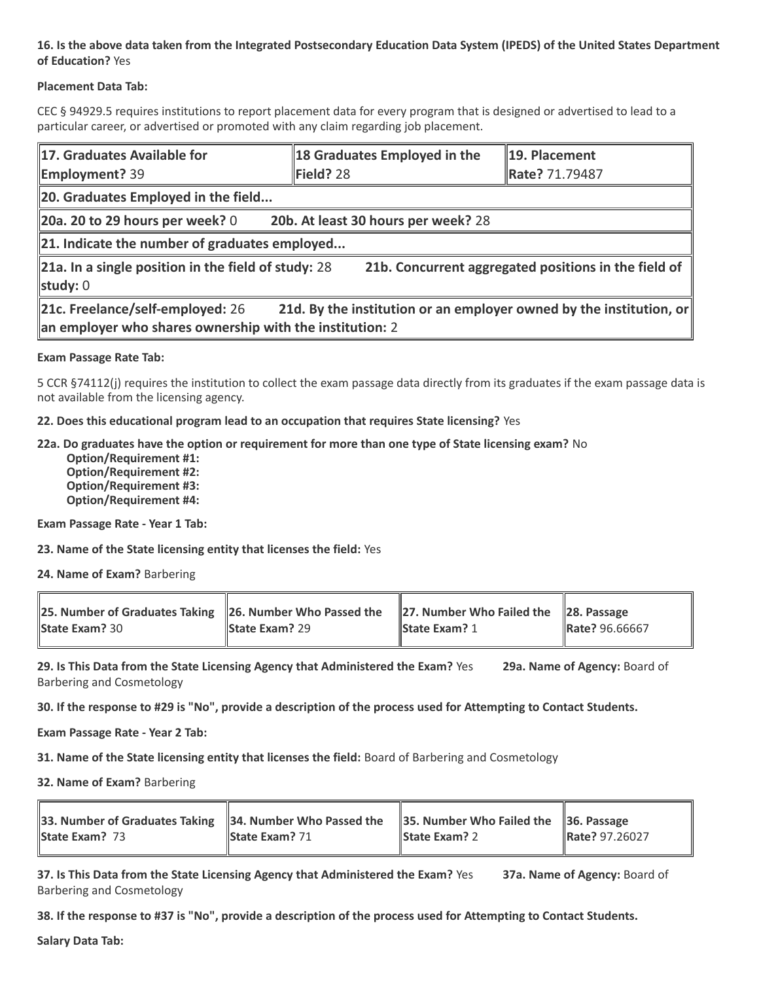## **16. Is the above data taken from the Integrated Postsecondary Education Data System (IPEDS) of the United States Department of Education?** Yes

## **Placement Data Tab:**

CEC § 94929.5 requires institutions to report placement data for every program that is designed or advertised to lead to a particular career, or advertised or promoted with any claim regarding job placement.

| 17. Graduates Available for<br><b>Employment?</b> 39                                                                                                                | 18 Graduates Employed in the<br>Field? 28 | 19. Placement<br>Rate? 71.79487                      |  |  |
|---------------------------------------------------------------------------------------------------------------------------------------------------------------------|-------------------------------------------|------------------------------------------------------|--|--|
| 20. Graduates Employed in the field                                                                                                                                 |                                           |                                                      |  |  |
| 20b. At least 30 hours per week? 28<br>20a. 20 to 29 hours per week? $0$                                                                                            |                                           |                                                      |  |  |
| 21. Indicate the number of graduates employed                                                                                                                       |                                           |                                                      |  |  |
| $\ $ 21a. In a single position in the field of study: 28<br>study: $0$                                                                                              |                                           | 21b. Concurrent aggregated positions in the field of |  |  |
| 21c. Freelance/self-employed: 26<br>21d. By the institution or an employer owned by the institution, or<br>an employer who shares ownership with the institution: 2 |                                           |                                                      |  |  |

### **Exam Passage Rate Tab:**

5 CCR §74112(j) requires the institution to collect the exam passage data directly from its graduates if the exam passage data is not available from the licensing agency.

**22. Does this educational program lead to an occupation that requires State licensing?** Yes

**22a. Do graduates have the option or requirement for more than one type of State licensing exam?** No

 **Option/Requirement #1: Option/Requirement #2: Option/Requirement #3: Option/Requirement #4:**

**Exam Passage Rate - Year 1 Tab:**

**23. Name of the State licensing entity that licenses the field:** Yes

**24. Name of Exam?** Barbering

| 25. Number of Graduates Taking 26. Number Who Passed the 27. Number Who Failed the 28. Passage |                       |                      |                |
|------------------------------------------------------------------------------------------------|-----------------------|----------------------|----------------|
| <b>State Exam? 30</b>                                                                          | <b>State Exam?</b> 29 | <b>State Exam? 1</b> | Rate? 96.66667 |

**29. Is This Data from the State Licensing Agency that Administered the Exam?** Yes **29a. Name of Agency:** Board of Barbering and Cosmetology

**30. If the response to #29 is "No", provide a description of the process used for Attempting to Contact Students.**

**Exam Passage Rate - Year 2 Tab:**

**31. Name of the State licensing entity that licenses the field:** Board of Barbering and Cosmetology

**32. Name of Exam?** Barbering

| 33. Number of Graduates Taking 34. Number Who Passed the 35. Number Who Failed the 36. Passage |                       |                      |                       |
|------------------------------------------------------------------------------------------------|-----------------------|----------------------|-----------------------|
| <b>State Exam?</b> 73                                                                          | <b>State Exam? 71</b> | <b>State Exam? 2</b> | <b>Rate? 97.26027</b> |

**37. Is This Data from the State Licensing Agency that Administered the Exam?** Yes **37a. Name of Agency:** Board of Barbering and Cosmetology

**38. If the response to #37 is "No", provide a description of the process used for Attempting to Contact Students.** 

**Salary Data Tab:**